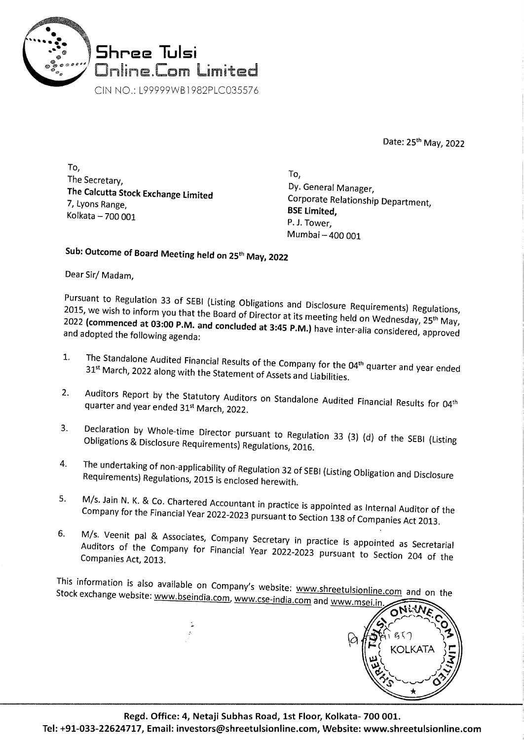

Date: 25th May, 2022

To, The Secretary, **The Calcutta Stock Exchange Limited**  7, Lyons Range, Kolkata - 700 001

To, Dy. General Manager, Corporate Relationship Department, **BSE Limited,**  P. J. Tower, Mumbai - 400 001

**Sub: Outcome of Board Meeting held on** 25th **May, 2022** 

Dear Sir/ Madam,

Pursuant to Regulation 33 of SEBI (Listing Obligations and Disclosure Requirements) Regulations, 2015, we wish to inform you that the Board of Director at its meeting held on Wednesday, 25<sup>th</sup> May, <sup>2022</sup>**(commenced at 03:00 P.M. and concluded at 3:45 P.M.)** have inter-alia considered, approved and adopted the following agenda:

- 1. The Standalone Audited Financial Results of the Company for the 04<sup>th</sup> quarter and year ended 31<sup>st</sup> March, 2022 along with the Statement of Assets and Liabilities.
- 2. Auditors Report by the Statutory Auditors on Standalone Audited Financial Results for 04<sup>th</sup> quarter and year ended 31<sup>st</sup> March, 2022.
- 3. Declaration by Whole-time Director pursuant to Regulation 33 (3) (d) of the SEBI (Listing Obligations & Disclosure Requirements) Regulations, 2016.
- 4. The undertaking of non-applicability of Regulation 32 of SEBI (Listing Obligation and Disclosure Requirements) Regulations, 2015 is enclosed herewith.
- 5. M/s. Jain N. K. & Co. Chartered Accountant in practice is appointed as Internal Auditor of the Company for the Financial Year 2022-2023 pursuant to Section 138 of Companies Act 2013.
- 6. M/s. Veenit pal & Associates, Company Secretary in practice is appointed as Secretarial Auditors of the Company for Financial Year 2022-2023 pursuant to Section 204 of the Companies Act, 2013.

This information is also available on Company's website: www.shreetulsionline.com and on the Stock exchange website: www.bseindia.com www.cco.india.com Stock exchange website: www.bseindia.com, www.cse-india.com and www.msei.in

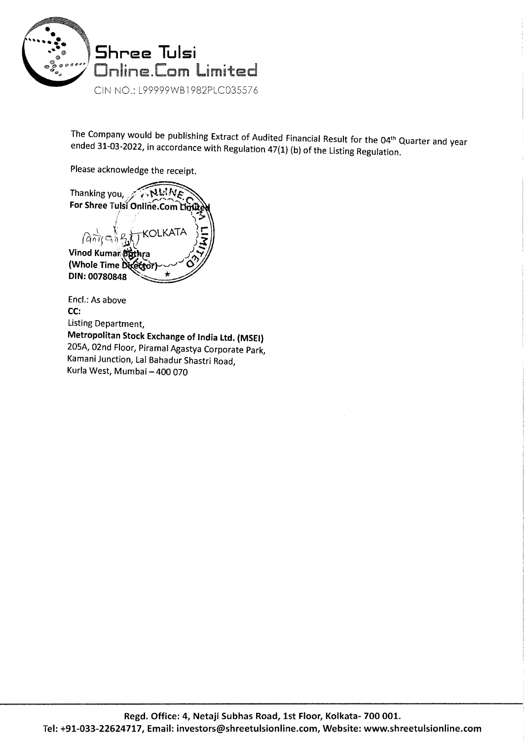

The Company would be publishing Extract of Audited Financial Result for the 04<sup>th</sup> Quarter and year ended 31-03-2022, in accordance with Regulation 47(1} (b} of the Listing Regulation.

Please acknowledge the receipt.

Thanking you, ANWA For Shree Tulsi Online.Com Lin KOLKATA  $\lim_{n\to\infty}$ Vinod Kumar Buthra (Whole Time Director DIN: 00780848

Encl.: As above **CC:**  Listing Department, **Metropolitan Stock Exchange of India Ltd. (MSEI)**  205A, 02nd Floor, Piramal Agastya Corporate Park, Kamani Junction, Lal Bahadur Shastri Road, Kurla West, Mumbai - 400 070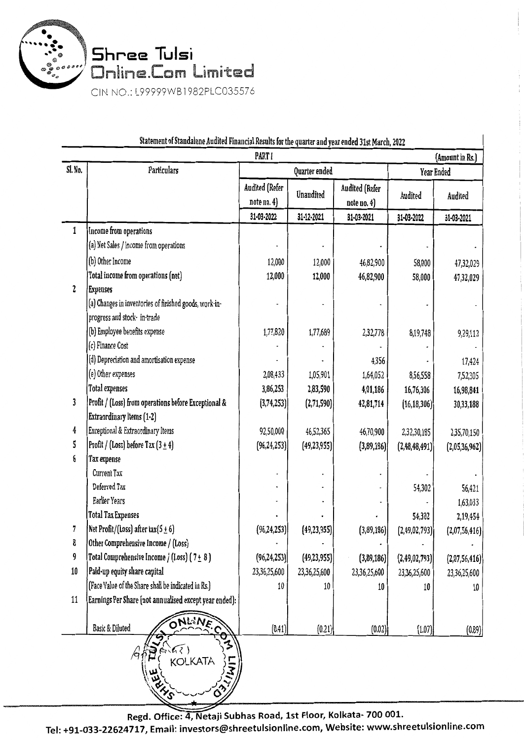

| Statement of Standalone Audited Financial Results for the quarter and year ended 31st March, 2022<br>PART I<br>(Amount in Rs.) |                                                        |                               |               |                               |                  |               |
|--------------------------------------------------------------------------------------------------------------------------------|--------------------------------------------------------|-------------------------------|---------------|-------------------------------|------------------|---------------|
| Sl. No.                                                                                                                        | Particulars                                            | Quarter ended                 |               |                               | Year Ended       |               |
|                                                                                                                                |                                                        | Audited (Refer<br>note no. 4) | Unaudited     | Audited (Refer<br>note no. 4) | Audited          | Audited       |
|                                                                                                                                |                                                        | 31-03-2022                    | 31-12-2021    | 31-03-2021                    | 31-03-2022       | 31-03-2021    |
| $\mathbf{1}$                                                                                                                   | Income from operations                                 |                               |               |                               |                  |               |
|                                                                                                                                | (a) Net Sales / income from operations                 |                               |               |                               |                  |               |
|                                                                                                                                | (b) Other Income                                       | 12,000                        | 12,000        | 46,82,900                     | 58,000           | 47,32,029     |
|                                                                                                                                | Total income from operations (net)                     | 12,000                        | 12,000        | 46,82,900                     | 58,000           | 47,32,029     |
| 2                                                                                                                              | <b>Expenses</b>                                        |                               |               |                               |                  |               |
|                                                                                                                                | (a) Changes in inventories of finished goods, work-in- |                               |               |                               |                  |               |
|                                                                                                                                | progress and stock- in-trade                           |                               |               |                               |                  |               |
|                                                                                                                                | (b) Employee benefits expense                          | 1,77,820                      | 1,77,689      | 2,32,778                      | 8,19,748         | 9,29,112      |
|                                                                                                                                | (c) Finance Cost                                       |                               |               |                               |                  |               |
|                                                                                                                                | (d) Depreciation and amortisation expense              |                               |               | 4,356                         |                  | 17,424        |
|                                                                                                                                | (e) Other expenses                                     | 2,08,433                      | 1,05,901      | 1,64,052                      | 8,56,558         | 7,52,305      |
|                                                                                                                                | <b>Total expenses</b>                                  | 3,86,253                      | 2,83,590      | 4,01,186                      | 16,76,306        | 16,98,841     |
| 3                                                                                                                              | Profit / (Loss) from operations before Exceptional &   | (3,74,253)                    | (2,71,590)    | 42,81,714                     | (16, 18, 306)    | 30,33,188     |
|                                                                                                                                | Extraordinary Items (1-2)                              |                               |               |                               |                  |               |
| 4                                                                                                                              | Exceptional & Extraordinary Items                      | 92,50,000                     | 46,52,365     | 46,70,900                     | 2,32,30,185      | 2,35,70,150   |
| 5                                                                                                                              | Profit / (Loss) before Tax $(3 \pm 4)$                 | (96, 24, 253)                 | (49, 23, 955) | (3,89,186)                    | (2,48,48,491)    | (2,05,36,962) |
| 6                                                                                                                              | Tax expense                                            |                               |               |                               |                  |               |
|                                                                                                                                | Current Tax                                            |                               |               |                               |                  |               |
|                                                                                                                                | Deferred Tax                                           |                               |               |                               | 54,302           | 56,421        |
|                                                                                                                                | Earlier Years                                          |                               |               |                               |                  | 1,63,033      |
|                                                                                                                                | <b>Total Tax Expenses</b>                              |                               |               |                               | 54,302           | 2,19,454      |
| 7                                                                                                                              | Net Profit/(Loss) after tax(5 $\pm$ 6)                 | (96, 24, 253)                 | (49, 23, 955) | (3,89,186)                    | (2, 49, 02, 793) | (2,07,56,416) |
| 8                                                                                                                              | Other Comprehensive Income / (Loss)                    |                               |               |                               |                  |               |
| 9                                                                                                                              | Total Comprehensive Income / (Loss) (7+8)              | (96, 24, 253)                 | (49, 23, 955) | (3,89,186)                    | (2,49,02,793)    | (2,07,56,416) |
| 10                                                                                                                             | Paid-up equity share capital                           | 23,36,25,600                  | 23,36,25,600  | 23,36,25,600                  | 23,36,25,600     | 23,36,25,600  |
|                                                                                                                                | (Face Value of the Share shall be indicated in Rs.)    | 10                            | 10            | 10                            | 10               | 10            |
| $11\,$                                                                                                                         | Earnings Per Share (not annualised except year ended): |                               |               |                               |                  |               |
|                                                                                                                                | ONLINE<br>Basic & Diluted                              | (0.41)                        | (0.21)        | (0.02)                        | (1.07)           | (0.89)        |
|                                                                                                                                | $\frac{\partial}{\partial z}$<br>KOLKATA               |                               |               |                               |                  |               |

#### ndalang Anditad Financial Dec وأباديه وأحياه

Regd. Office: 4, Netaji Subhas Road, 1st Floor, Kolkata- 700 001.

Tel: +91-033-22624717, Email: investors@shreetulsionline.com, Website: www.shreetulsionline.com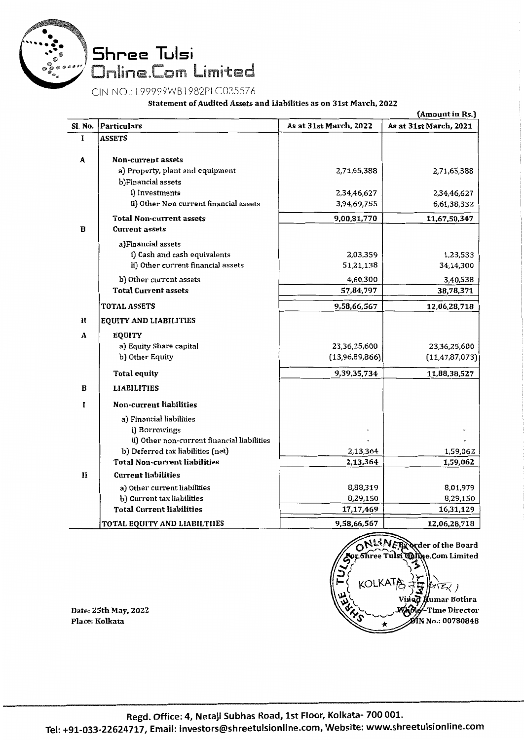

CIN NO.: L99999WB l 982PLC03557 6

Statement of Audited Assets and Liabilities as on 31st March, 2022

|              | (Amount in Rs.)                                                    |                        |                        |  |  |
|--------------|--------------------------------------------------------------------|------------------------|------------------------|--|--|
| Sl. No.      | Particulars                                                        | As at 31st March, 2022 | As at 31st March, 2021 |  |  |
| ī            | <b>ASSETS</b>                                                      |                        |                        |  |  |
|              | Non-current assets                                                 |                        |                        |  |  |
| A            | a) Property, plant and equipment                                   | 2,71,65,388            | 2,71,65,388            |  |  |
|              | b)Financial assets                                                 |                        |                        |  |  |
|              | i) Investments                                                     | 2,34,46,627            | 2,34,46,627            |  |  |
|              | ii) Other Non current financial assets                             | 3,94,69,755            | 6,61,38,332            |  |  |
|              | <b>Total Non-current assets</b>                                    | 9,00,81,770            | 11,67,50,347           |  |  |
| B            | <b>Current assets</b>                                              |                        |                        |  |  |
|              |                                                                    |                        |                        |  |  |
|              | a)Financial assets                                                 |                        |                        |  |  |
|              | i) Cash and cash equivalents<br>ii) Other current financial assets | 2,03,359<br>51,21,138  | 1,23,533<br>34,14,300  |  |  |
|              |                                                                    |                        |                        |  |  |
|              | b) Other current assets                                            | 4,60,300               | 3,40,538               |  |  |
|              | <b>Total Current assets</b>                                        | 57,84,797              | 38,78,371              |  |  |
|              | TOTAL ASSETS                                                       | 9,58,66,567            | 12,06,28,718           |  |  |
| H            | <b>EQUITY AND LIABILITIES</b>                                      |                        |                        |  |  |
| A            | <b>EQUITY</b>                                                      |                        |                        |  |  |
|              | a) Equity Share capital                                            | 23,36,25,600           | 23,36,25,600           |  |  |
|              | b) Other Equity                                                    | (13,96,89,866)         | (11, 47, 87, 073)      |  |  |
|              | <b>Total equity</b>                                                | 9,39,35,734            | 11,88,38,527           |  |  |
| B            | <b>LIABILITIES</b>                                                 |                        |                        |  |  |
| П            | Non-current liabilities                                            |                        |                        |  |  |
|              |                                                                    |                        |                        |  |  |
|              | a) Financial liabilities                                           |                        |                        |  |  |
|              | i) Borrowings<br>ii) Other non-current financial liabilities       |                        |                        |  |  |
|              | b) Deferred tax liabilities (net)                                  | 2,13,364               | 1,59,062               |  |  |
|              | <b>Total Non-current liabilities</b>                               | 2,13,364               | 1,59,062               |  |  |
| $\mathbf{H}$ | <b>Current liabilities</b>                                         |                        |                        |  |  |
|              |                                                                    |                        |                        |  |  |
|              | a) Other current liabilities<br>b) Current tax liabilities         | 8,88,319<br>8,29,150   | 8,01,979<br>8,29,150   |  |  |
|              | <b>Total Current liabilities</b>                                   | 17,17,469              | 16,31,129              |  |  |
|              |                                                                    |                        |                        |  |  |
|              | TOTAL EQUITY AND LIABILTIIES                                       | 9,58,66,567            | 12,06,28,718           |  |  |



Date: 25th May, 2022 Place: Kolkata

Tel: +91-033-22624717, Email: investors@shreetulsionline.com, Website: www.shreetulsionline.com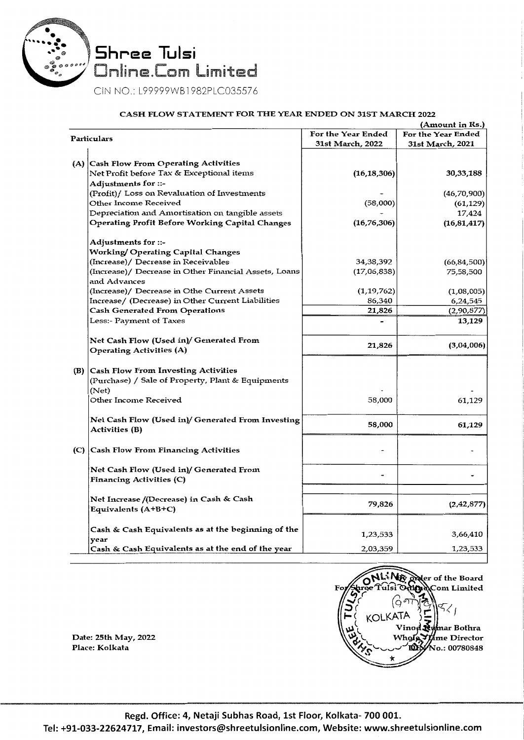

#### CASH FLOW STATEMENT FOR THE YEAR ENDED ON 31ST MARCH 2022

|             |                                                        |                    | (Amount in Ks.)    |
|-------------|--------------------------------------------------------|--------------------|--------------------|
| Particulars |                                                        | For the Year Ended | For the Year Ended |
|             |                                                        | 31st March, 2022   | 31st March, 2021   |
|             |                                                        |                    |                    |
|             | (A) Cash Flow From Operating Activities                |                    |                    |
|             | Net Profit before Tax & Exceptional items              | (16, 18, 306)      | 30,33,188          |
|             | Adjustments for ::-                                    |                    |                    |
|             | (Profit)/ Loss on Revaluation of Investments           |                    | (46,70,900)        |
|             | Other Income Received                                  | (58,000)           | (61, 129)          |
|             | Depreciation and Amortisation on tangible assets       |                    | 17,424             |
|             | <b>Operating Profit Before Working Capital Changes</b> | (16, 76, 306)      | (16, 81, 417)      |
|             |                                                        |                    |                    |
|             | Adjustments for ::-                                    |                    |                    |
|             | Working/ Operating Capital Changes                     |                    |                    |
|             | (Increase)/ Decrease in Receivables                    | 34,38,392          | (66, 84, 500)      |
|             | (Increase)/ Decrease in Other Financial Assets, Loans  | (17,06,838)        | 75,58,500          |
|             | and Advances                                           |                    |                    |
|             |                                                        | (1, 19, 762)       | (1,08,005)         |
|             | (Increase)/ Decrease in Othe Current Assets            |                    | 6,24,545           |
|             | Increase/ (Decrease) in Other Current Liabilities      | 86,340             |                    |
|             | <b>Cash Generated From Operations</b>                  | 21,826             | (2,90,877)         |
|             | Less:- Payment of Taxes                                |                    | 13,129             |
|             |                                                        |                    |                    |
|             | Net Cash Flow (Used in)/ Generated From                | 21,826             | (3,04,006)         |
|             | <b>Operating Activities (A)</b>                        |                    |                    |
|             |                                                        |                    |                    |
|             | (B) Cash Flow From Investing Activities                |                    |                    |
|             | (Purchase) / Sale of Property, Plant & Equipments      |                    |                    |
|             | (Net)                                                  |                    |                    |
|             | Other Income Received                                  | 58,000             | 61,129             |
|             |                                                        |                    |                    |
|             | Net Cash Flow (Used in)/ Generated From Investing      | 58,000             | 61,129             |
|             | <b>Activities (B)</b>                                  |                    |                    |
|             |                                                        |                    |                    |
|             | (C) Cash Flow From Financing Activities                |                    |                    |
|             |                                                        |                    |                    |
|             | Net Cash Flow (Used in)/ Generated From                |                    |                    |
|             | <b>Financing Activities (C)</b>                        |                    |                    |
|             |                                                        |                    |                    |
|             | Net Increase /(Decrease) in Cash & Cash                | 79,826             | (2,42,877)         |
|             | Equivalents (A+B+C)                                    |                    |                    |
|             |                                                        |                    |                    |
|             | Cash & Cash Equivalents as at the beginning of the     | 1,23,533           | 3,66,410           |
|             | year                                                   |                    |                    |
|             | Cash & Cash Equivalents as at the end of the year      | 2,03,359           | 1,23,533           |



Date: 25th May, 2022 Place: Kolkata

Regd. Office: 4, Netaji Subhas Road, 1st Floor, Kolkata- 700 001.

Tel: +91-033-22624717, Email: investors@shreetulsionline.com, Website: www.shreetulsionline.com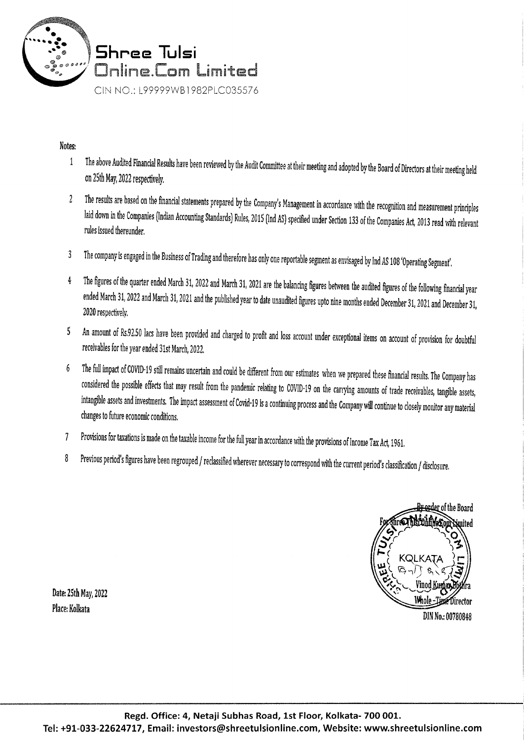

## Notes:

- 1 The above Audited Financial Results have been reviewed by the Audit Committee at their meeting and adopted by the Board of Directors at their meeting held on 25th May, 2022 respectively.
- 2 The results are based on the financial statements prepared by the Company's Management in accordance with the recognition and measurement principles laid down in the Companies (Indian Accounting Standards) Rules, 2015 (Ind AS) specified under Section 133 of the Companies Act, 2013 read with relevant rules issued thereunder.
- 3 The company is engaged in the Business of Trading and therefore has only one reportable segment as emisaged by Ind *AS* 108 'Operating Segment'.
- 4 The figures of the quarter ended March 31, 2022 and March 31, 2021 are the balancing figures between the audited figures of the following financial year ended March 31, 2022 and March 31, 2021 and the published year to date unaudited figures upto nine months ended December 31, 2021 and December 31, 2020 respectively.
- 5 An amount of Rs.92.50 lacs have been provided and charged to profit and loss account under exceptional items on account of provision for doubtful receivables for the year ended 31st March, 2022.
- 6 The full impact of COVID· 19 still remains uncertain and could be different from our estimates when we prepared these financial results. The Company has considered the possible effects that may result from the pandemic relating to COVID· 19 on the carrying amounts of trade receivables, tangible assets, intangible assets and investments. The impact assessment of Covid-19 is a continuing process and the Company will continue to closely monitor any material changes to future economic conditions.
- 7 Provisions for taxations is made on the taxable income for the full year in accordance with the provisions of Income Tax Act, 1961.
- 8 Previous period's figures have been regrouped / reclassified wherever necessary to correspond with the current period's classification / disclosure.

<del>Br or</del>der of the Board imited Vinod Ku<del>n</del>har Whole-Time Director DIN No.: 00780848

Date: 25th May, 2022 Place: Kolkata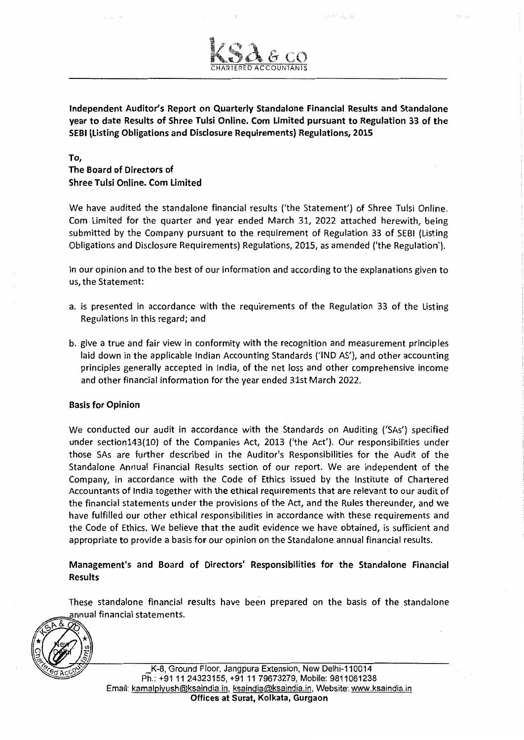Independent Auditor's Report on Quarterly Standalone Financial Results and Standalone year to date Results of Shree Tulsi Online. Com Limited pursuant to Regulation 33 of the SEBI (Listing Obligations and Disclosure Requirements) Regulations, 2015

To,

The Board of Directors of Shree Tulsi Online. Com Limited

We have audited the standalone financial results ('the Statement') of Shree Tulsi Online. Com Limited for the quarter and year ended March 31, 2022 attached herewith, being submitted by the Company pursuant to the requirement of Regulation 33 of SEBI (Listing Obligations and Disclosure Requirements) Regulations, 2015, as amended ('the Regulation').

In our opinion and to the best of our information and according to the explanations given to us, the Statement:

- a. is presented in accordance with the requirements of the Regulation 33 of the Listing Regulations in this regard; and
- b. give a true and fair view in conformity with the recognition and measurement principles laid down in the applicable Indian Accounting Standards ('IND AS'), and other accounting principles generally accepted in India, of the net loss and other comprehensive income and other financial information for the year ended 31st March 2022.

### Basis for Opinion

We conducted our audit in accordance with the Standards on Auditing ('SAs') specified under section143(10) of the Companies Act, 2013 ('the Act'). Our responsibilities under those SAs are further described in the Auditor's Responsibilities for the Audit of the Standalone Annual Financial Results section of our report. We are independent of the Company, in accordance with the Code of Ethics issued by the Institute of Chartered Accountants of India together with the ethical requirements that are relevant to our audit of the financial statements under the provisions of the Act, and the Rules thereunder, and we have fulfilled our other ethical responsibilities in accordance with these requirements and the Code of Ethics. We believe that the audit evidence we have obtained, is sufficient and appropriate to provide a basis for our opinion on the Standalone annual financial results.

Management's and Board of Directors' Responsibilities for the Standalone Financial Results

These standalone financial results have been prepared on the basis of the standalone annual financial statements.

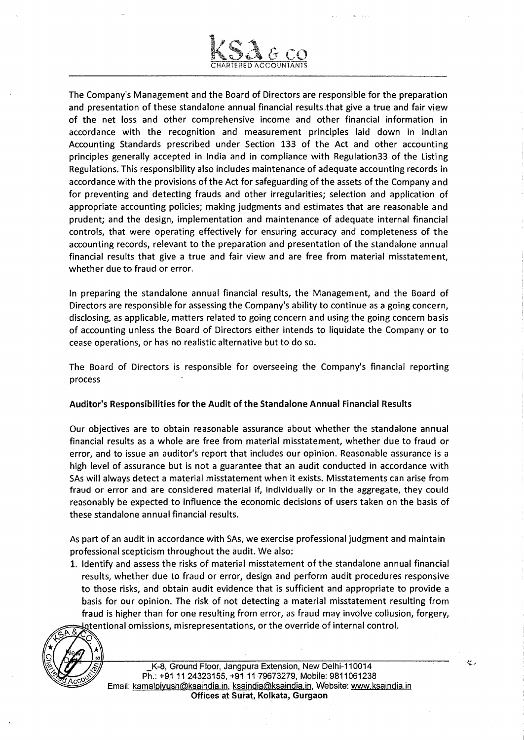

The Company's Management and the Board of Directors are responsible for the preparation and presentation of these standalone annual financial results that give a true and fair view of the net loss and other comprehensive income and other financial information in accordance with the recognition and measurement principles laid down in Indian Accounting Standards prescribed under Section 133 of the Act and other accounting principles generally accepted in India and in compliance with Regulation33 of the Listing Regulations. This responsibility also includes maintenance of adequate accounting records in accordance with the provisions of the Act for safeguarding of the assets of the Company and for preventing and detecting frauds and other irregularities; selection and application of appropriate accounting policies; making judgments and estimates that are reasonable and prudent; and the design, implementation and maintenance of adequate internal financial controls, that were operating effectively for ensuring accuracy and completeness of the accounting records, relevant to the preparation and presentation of the standalone annual financial results that give a true and fair view and are free from material misstatement, whether due to fraud or error.

In preparing the standalone annual financial results, the Management, and the Board of Directors are responsible for assessing the Company's ability to continue as a going concern, disclosing, as applicable, matters related to going concern and using the going concern basis of accounting unless the Board of Directors either intends to liquidate the Company or to cease operations, or has no realistic alternative but to do so.

The Board of Directors is responsible for overseeing the Company's financial reporting process

### Auditor's Responsibilities for the Audit of the Standalone Annual Financial Results

Our objectives are to obtain reasonable assurance about whether the standalone annual financial results as a whole are free from material misstatement, whether due to fraud or error, and to issue an auditor's report that includes our opinion. Reasonable assurance is a high level of assurance but is not a guarantee that an audit conducted in accordance with SAs will always detect a material misstatement when it exists. Misstatements can arise from fraud or error and are considered material if, individually or in the aggregate, they could reasonably be expected to influence the economic decisions of users taken on the basis of these standalone annual financial results.

As part of an audit in accordance with SAs, we exercise professional judgment and maintain professional scepticism throughout the audit. We also:

1. Identify and assess the risks of material misstatement of the standalone annual financial results, whether due to fraud or error, design and perform audit procedures responsive to those risks, and obtain audit evidence that is sufficient and appropriate to provide a basis for our opinion. The risk of not detecting a material misstatement resulting from fraud is higher than for one resulting from error, as fraud may involve collusion, forgery, intentional omissions, misrepresentations, or the override of internal control.



\_K-8, Ground Floor, Jangpura Extension, New Delhi-110014 Ph.: +911124323155, +9111 79673279, Mobile: 9811061238 Email: kamalpiyush@ksaindia.in, ksaindia@ksaindia.in, Website: www.ksaindia.in Offices at Surat, Kolkata, Gurgaon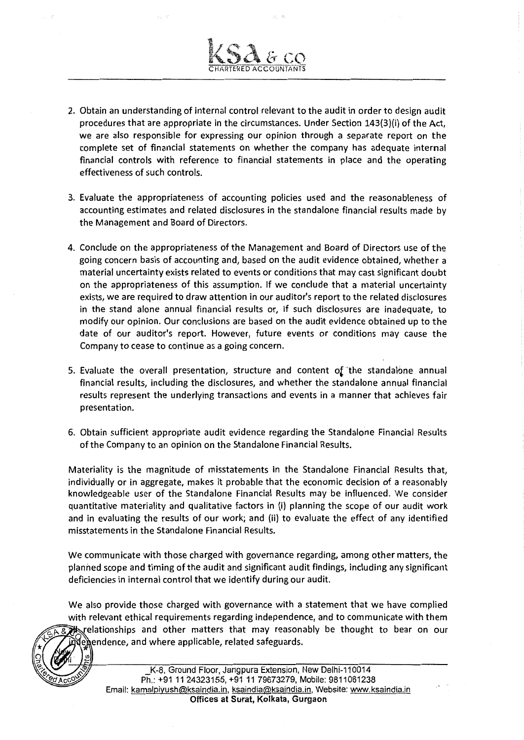- 2. Obtain an understanding of internal control relevant to the audit in order to design audit procedures that are appropriate in the circumstances. Under Section 143(3)(i) of the Act, we are also responsible for expressing our opinion through a separate report on the complete set of financial statements on whether the company has adequate internal financial controls with reference to financial statements in place and the operating effectiveness of such controls.
- 3. Evaluate the appropriateness of accounting policies used and the reasonableness of accounting estimates and related disclosures in the standalone financial results made by the Management and Board of Directors.
- 4. Conclude on the appropriateness of the Management and Board of Directors use of the going concern basis of accounting and, based on the audit evidence obtained, whether a material uncertainty exists related to events or conditions that may cast significant doubt on the appropriateness of this assumption. If we conclude that a material uncertainty exists, we are required to draw attention in our auditor's report to the related disclosures in the stand alone annual financial results or, if such disclosures are inadequate, to modify our opinion. Our conclusions are based on the audit evidence obtained up to the date of our auditor's report. However, future events or conditions may cause the Company to cease to continue as a going concern.
- 5. Evaluate the overall presentation, structure and content of the standalone annual financial results, including the disclosures, and whether the standalone annual financial results represent the underlying transactions and events in a manner that achieves fair presentation.
- 6. Obtain sufficient appropriate audit evidence regarding the Standalone Financial Results ofthe Company to an opinion on the Standalone Financial Results.

Materiality is the magnitude of misstatements in the Standalone Financial Results that, individually or in aggregate, makes it probable that the economic decision of a reasonably knowledgeable user of the Standalone Financial Results may be influenced. We consider quantitative materiality and qualitative factors in (i) planning the scope of our audit work and in evaluating the results of our work; and (ii) to evaluate the effect of any identified misstatements in the Standalone Financial Results.

We communicate with those charged with governance regarding, among other matters, the planned scope and timing of the audit and significant audit findings, including any significant deficiencies in internal control that we identify during our audit.

We also provide those charged with governance with a statement that we have complied with relevant ethical requirements regarding independence, and to communicate with them ~F>- & relationships and other matters that may reasonably be thought to bear on our (exendence, and where applicable, related safeguards.

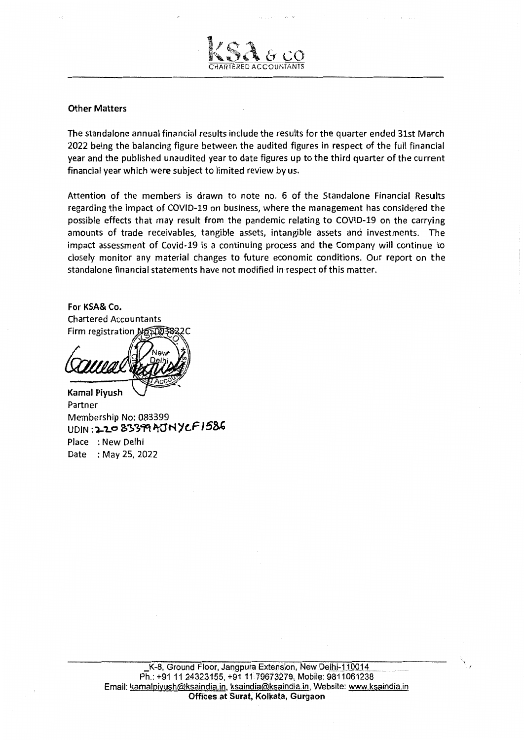

The standalone annual financial results include the results for the quarter ended 31st March 2022 being the balancing figure between the audited figures in respect of the full financial year and the published unaudited year to date figures up to the third quarter of the current financial year which were subject to limited review by us.

**RED ACCOUNTANTS** 

Attention of the members is drawn to note no. 6 of the Standalone Financial Results regarding the impact of COVID-19 on business, where the management has considered the possible effects that may result from the pandemic relating to COVID-19 on the carrying amounts of trade receivables, tangible assets, intangible assets and investments. The impact assessment of Covid-19 is a continuing process and the Company will continue to closely monitor any material changes to future economic conditions. Our report on the standalone financial statements have not modified in respect of this matter.

For KSA& Co. Chartered Accountants Firm registration Nep003832C

Kamal Piyush Partner Membership No: 083399 UDIN **:·1.:2 .... 0** ~"!>)C]q **'T-O'N)'C.F 158'**  Place : New Delhi Date : May 25, 2022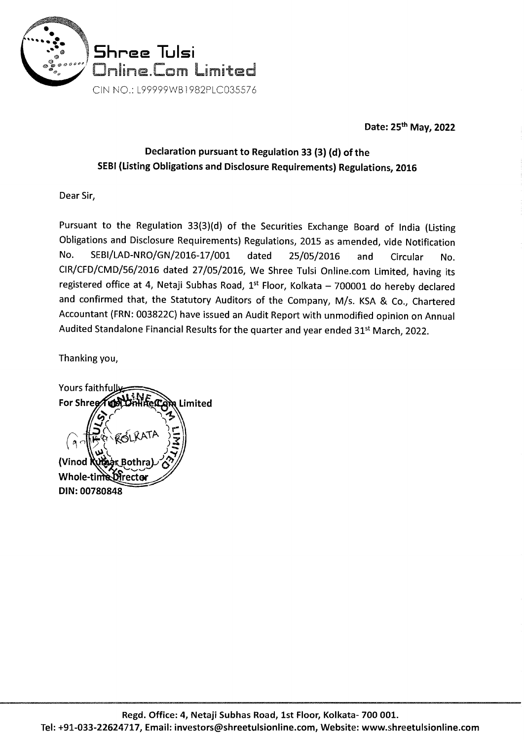

Date: 25th May, 2022

# Declaration pursuant to Regulation 33 (3) (d) of the SEBI (Listing Obligations and Disclosure Requirements) Regulations, 2016

Dear Sir,

Pursuant to the Regulation 33(3)(d) of the Securities Exchange Board of India (Listing Obligations and Disclosure Requirements) Regulations, 2015 as amended, vide Notification No. SEBl/LAD-NRO/GN/2016-17 /001 dated 25/05/2016 and Circular No. CIR/CFD/CMD/56/2016 dated 27 /05/2016, We Shree Tulsi Online.com Limited, having its registered office at 4, Netaji Subhas Road,  $1^{st}$  Floor, Kolkata - 700001 do hereby declared and confirmed that, the Statutory Auditors of the Company, M/s. KSA & Co., Chartered Accountant (FRN: 003822C} have issued an Audit Report with unmodified opinion on Annual Audited Standalone Financial Results for the quarter and year ended 31<sup>st</sup> March, 2022.

Thanking you,

Yours faithfully **For Shree** Limited *(Vinod* Whole-time Director DIN: 00780848